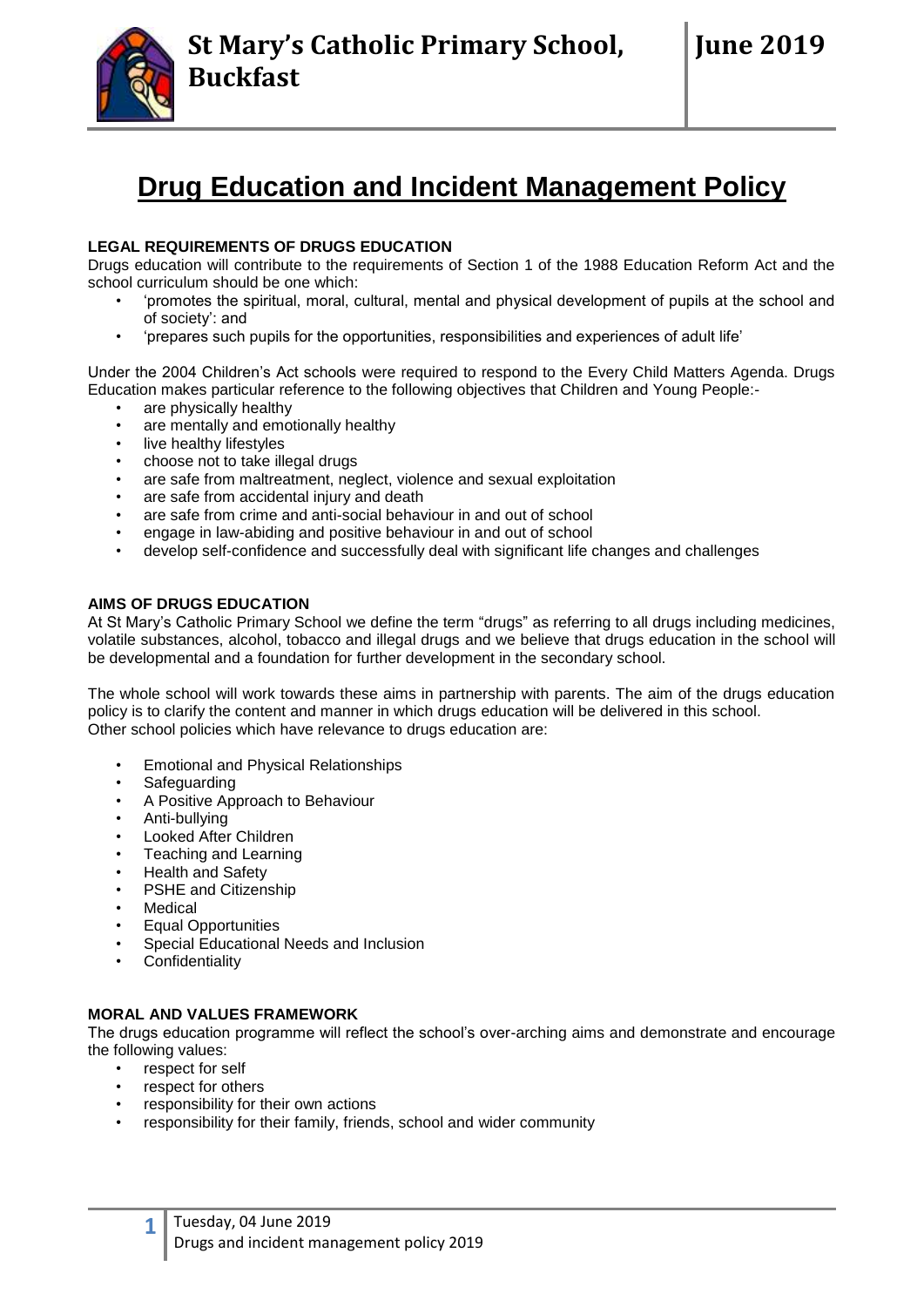# **Drug Education and Incident Management Policy**

# **LEGAL REQUIREMENTS OF DRUGS EDUCATION**

Drugs education will contribute to the requirements of Section 1 of the 1988 Education Reform Act and the school curriculum should be one which:

- 'promotes the spiritual, moral, cultural, mental and physical development of pupils at the school and of society': and
- 'prepares such pupils for the opportunities, responsibilities and experiences of adult life'

Under the 2004 Children's Act schools were required to respond to the Every Child Matters Agenda. Drugs Education makes particular reference to the following objectives that Children and Young People:-

- are physically healthy
- are mentally and emotionally healthy
- live healthy lifestyles
- choose not to take illegal drugs
- are safe from maltreatment, neglect, violence and sexual exploitation
- are safe from accidental injury and death
- are safe from crime and anti-social behaviour in and out of school
- engage in law-abiding and positive behaviour in and out of school
- develop self-confidence and successfully deal with significant life changes and challenges

# **AIMS OF DRUGS EDUCATION**

At St Mary's Catholic Primary School we define the term "drugs" as referring to all drugs including medicines, volatile substances, alcohol, tobacco and illegal drugs and we believe that drugs education in the school will be developmental and a foundation for further development in the secondary school.

The whole school will work towards these aims in partnership with parents. The aim of the drugs education policy is to clarify the content and manner in which drugs education will be delivered in this school. Other school policies which have relevance to drugs education are:

- Emotional and Physical Relationships
- Safeguarding
- A Positive Approach to Behaviour
- Anti-bullying
- Looked After Children
- Teaching and Learning
- Health and Safety
- PSHE and Citizenship
- **Medical**
- Equal Opportunities
- Special Educational Needs and Inclusion
- **Confidentiality**

# **MORAL AND VALUES FRAMEWORK**

The drugs education programme will reflect the school's over-arching aims and demonstrate and encourage the following values:

- respect for self
- respect for others
- responsibility for their own actions
- responsibility for their family, friends, school and wider community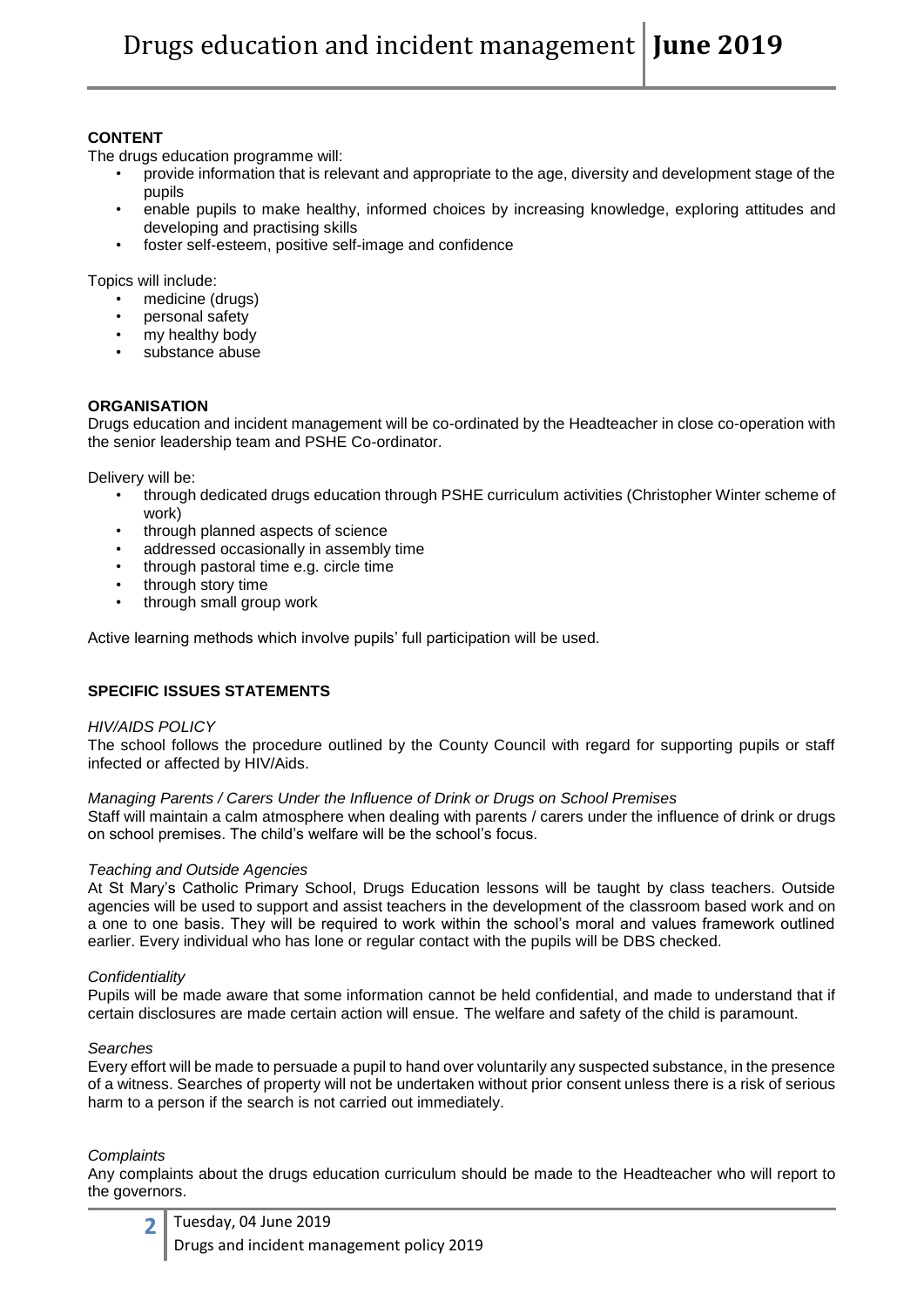# **CONTENT**

The drugs education programme will:

- provide information that is relevant and appropriate to the age, diversity and development stage of the pupils
- enable pupils to make healthy, informed choices by increasing knowledge, exploring attitudes and developing and practising skills
- foster self-esteem, positive self-image and confidence

Topics will include:

- medicine (drugs)
- personal safety
- my healthy body
- substance abuse

# **ORGANISATION**

Drugs education and incident management will be co-ordinated by the Headteacher in close co-operation with the senior leadership team and PSHE Co-ordinator.

Delivery will be:

- through dedicated drugs education through PSHE curriculum activities (Christopher Winter scheme of work)
- through planned aspects of science
- addressed occasionally in assembly time
- through pastoral time e.g. circle time
- through story time
- through small group work

Active learning methods which involve pupils' full participation will be used.

# **SPECIFIC ISSUES STATEMENTS**

#### *HIV/AIDS POLICY*

The school follows the procedure outlined by the County Council with regard for supporting pupils or staff infected or affected by HIV/Aids.

#### *Managing Parents / Carers Under the Influence of Drink or Drugs on School Premises*

Staff will maintain a calm atmosphere when dealing with parents / carers under the influence of drink or drugs on school premises. The child's welfare will be the school's focus.

#### *Teaching and Outside Agencies*

At St Mary's Catholic Primary School, Drugs Education lessons will be taught by class teachers. Outside agencies will be used to support and assist teachers in the development of the classroom based work and on a one to one basis. They will be required to work within the school's moral and values framework outlined earlier. Every individual who has lone or regular contact with the pupils will be DBS checked.

#### *Confidentiality*

Pupils will be made aware that some information cannot be held confidential, and made to understand that if certain disclosures are made certain action will ensue. The welfare and safety of the child is paramount.

#### *Searches*

Every effort will be made to persuade a pupil to hand over voluntarily any suspected substance, in the presence of a witness. Searches of property will not be undertaken without prior consent unless there is a risk of serious harm to a person if the search is not carried out immediately.

#### *Complaints*

Any complaints about the drugs education curriculum should be made to the Headteacher who will report to the governors.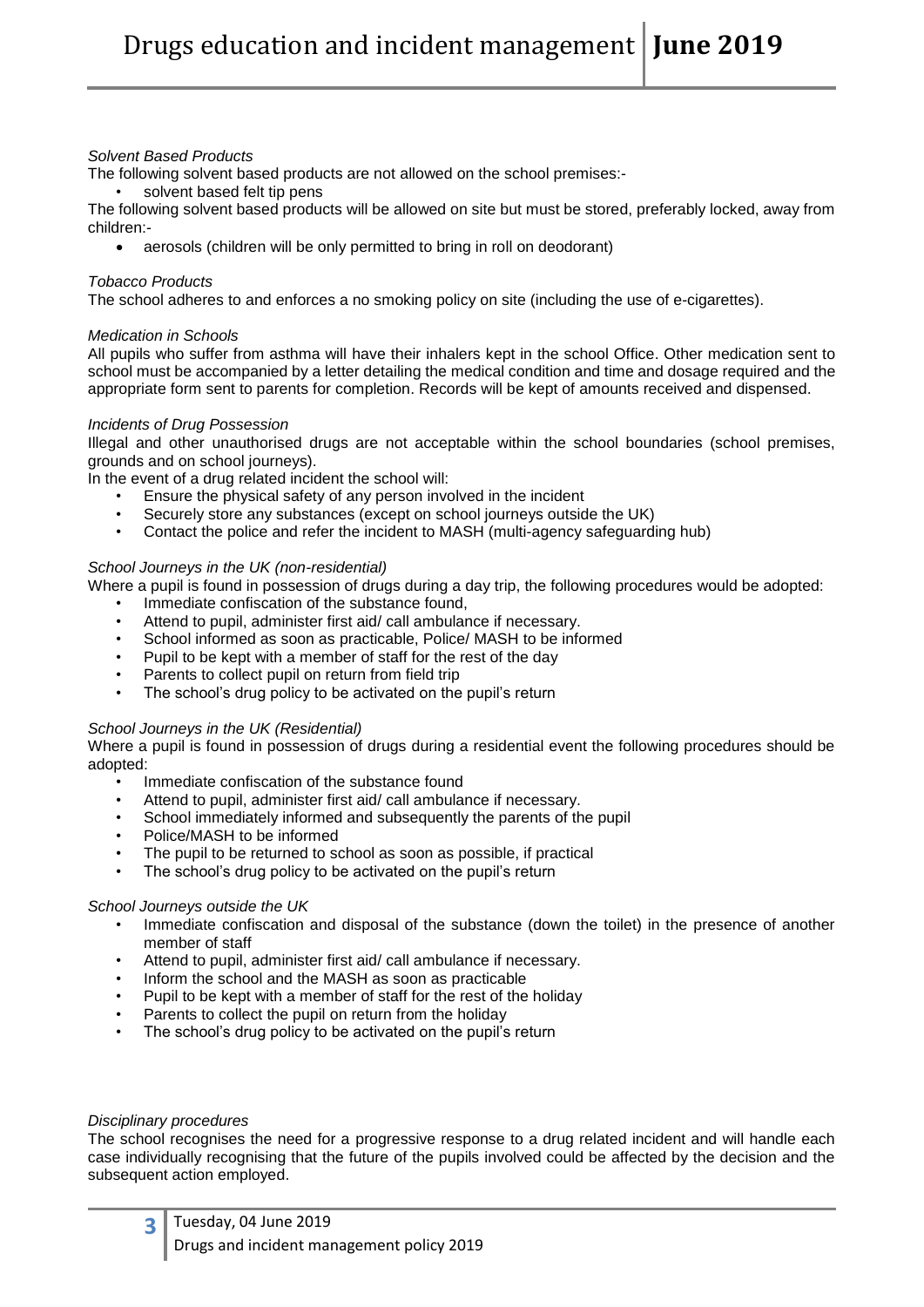## *Solvent Based Products*

The following solvent based products are not allowed on the school premises:-

solvent based felt tip pens

The following solvent based products will be allowed on site but must be stored, preferably locked, away from children:-

aerosols (children will be only permitted to bring in roll on deodorant)

## *Tobacco Products*

The school adheres to and enforces a no smoking policy on site (including the use of e-cigarettes).

## *Medication in Schools*

All pupils who suffer from asthma will have their inhalers kept in the school Office. Other medication sent to school must be accompanied by a letter detailing the medical condition and time and dosage required and the appropriate form sent to parents for completion. Records will be kept of amounts received and dispensed.

## *Incidents of Drug Possession*

Illegal and other unauthorised drugs are not acceptable within the school boundaries (school premises, grounds and on school journeys).

In the event of a drug related incident the school will:

- Ensure the physical safety of any person involved in the incident
- Securely store any substances (except on school journeys outside the UK)
- Contact the police and refer the incident to MASH (multi-agency safeguarding hub)

## *School Journeys in the UK (non-residential)*

Where a pupil is found in possession of drugs during a day trip, the following procedures would be adopted:

- Immediate confiscation of the substance found,
- Attend to pupil, administer first aid/ call ambulance if necessary.
- School informed as soon as practicable, Police/ MASH to be informed
- Pupil to be kept with a member of staff for the rest of the day
- Parents to collect pupil on return from field trip
- The school's drug policy to be activated on the pupil's return

# *School Journeys in the UK (Residential)*

Where a pupil is found in possession of drugs during a residential event the following procedures should be adopted:

- Immediate confiscation of the substance found
- Attend to pupil, administer first aid/ call ambulance if necessary.
- School immediately informed and subsequently the parents of the pupil
- Police/MASH to be informed
- The pupil to be returned to school as soon as possible, if practical
- The school's drug policy to be activated on the pupil's return

#### *School Journeys outside the UK*

- Immediate confiscation and disposal of the substance (down the toilet) in the presence of another member of staff
- Attend to pupil, administer first aid/ call ambulance if necessary.
- Inform the school and the MASH as soon as practicable
- Pupil to be kept with a member of staff for the rest of the holiday
- Parents to collect the pupil on return from the holiday
- The school's drug policy to be activated on the pupil's return

# *Disciplinary procedures*

The school recognises the need for a progressive response to a drug related incident and will handle each case individually recognising that the future of the pupils involved could be affected by the decision and the subsequent action employed.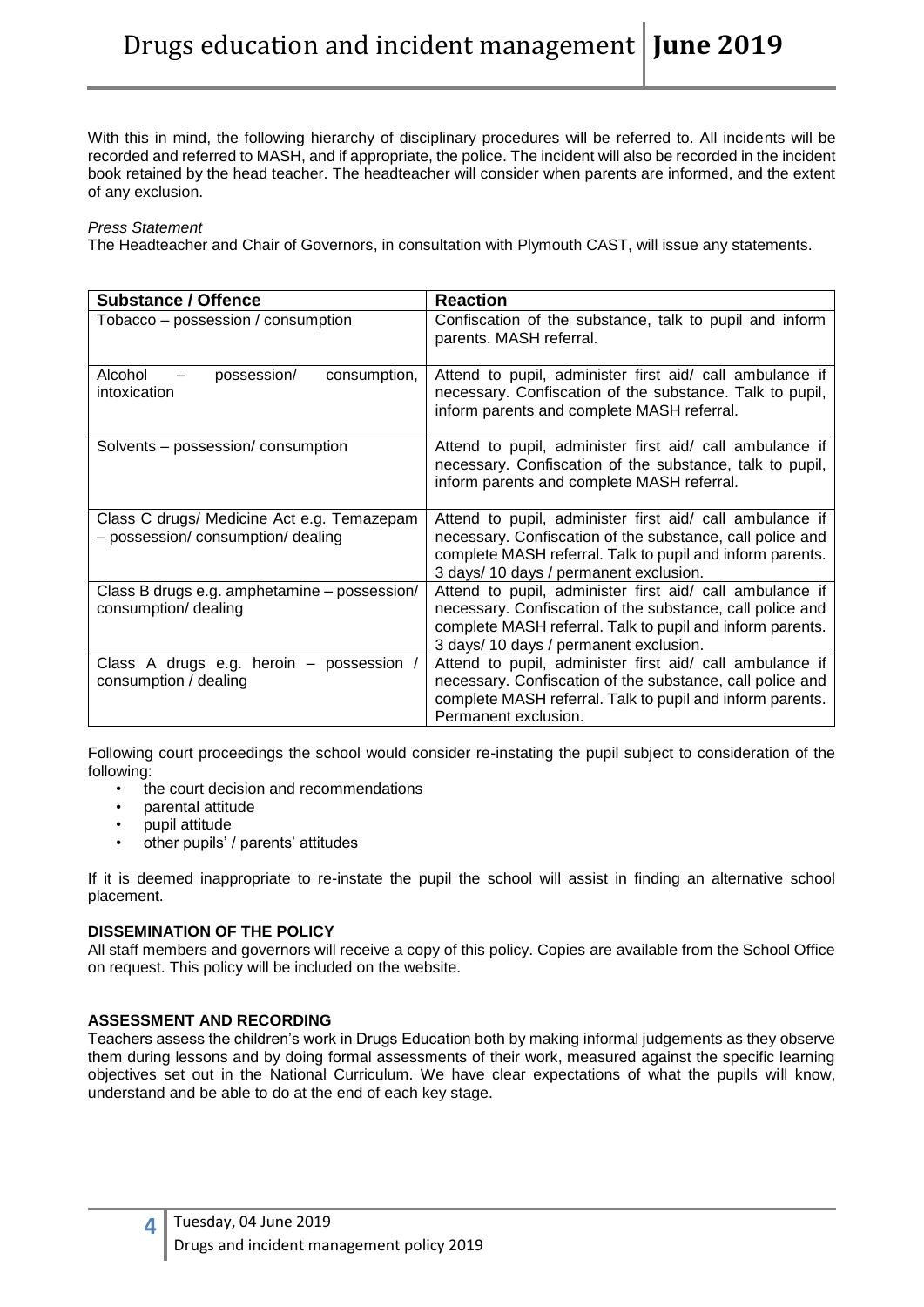With this in mind, the following hierarchy of disciplinary procedures will be referred to. All incidents will be recorded and referred to MASH, and if appropriate, the police. The incident will also be recorded in the incident book retained by the head teacher. The headteacher will consider when parents are informed, and the extent of any exclusion.

#### *Press Statement*

The Headteacher and Chair of Governors, in consultation with Plymouth CAST, will issue any statements.

| <b>Substance / Offence</b>                                                       | <b>Reaction</b>                                                                                                                                                                                                              |
|----------------------------------------------------------------------------------|------------------------------------------------------------------------------------------------------------------------------------------------------------------------------------------------------------------------------|
| Tobacco - possession / consumption                                               | Confiscation of the substance, talk to pupil and inform<br>parents. MASH referral.                                                                                                                                           |
| Alcohol<br>possession/<br>consumption,<br>intoxication                           | Attend to pupil, administer first aid/ call ambulance if<br>necessary. Confiscation of the substance. Talk to pupil,<br>inform parents and complete MASH referral.                                                           |
| Solvents – possession/ consumption                                               | Attend to pupil, administer first aid/ call ambulance if<br>necessary. Confiscation of the substance, talk to pupil,<br>inform parents and complete MASH referral.                                                           |
| Class C drugs/ Medicine Act e.g. Temazepam<br>- possession/ consumption/ dealing | Attend to pupil, administer first aid/ call ambulance if<br>necessary. Confiscation of the substance, call police and<br>complete MASH referral. Talk to pupil and inform parents.<br>3 days/ 10 days / permanent exclusion. |
| Class B drugs e.g. amphetamine - possession/<br>consumption/ dealing             | Attend to pupil, administer first aid/ call ambulance if<br>necessary. Confiscation of the substance, call police and<br>complete MASH referral. Talk to pupil and inform parents.<br>3 days/ 10 days / permanent exclusion. |
| Class A drugs e.g. heroin – possession<br>consumption / dealing                  | Attend to pupil, administer first aid/ call ambulance if<br>necessary. Confiscation of the substance, call police and<br>complete MASH referral. Talk to pupil and inform parents.<br>Permanent exclusion.                   |

Following court proceedings the school would consider re-instating the pupil subject to consideration of the following:

- the court decision and recommendations
- parental attitude
- pupil attitude
- other pupils' / parents' attitudes

If it is deemed inappropriate to re-instate the pupil the school will assist in finding an alternative school placement.

# **DISSEMINATION OF THE POLICY**

All staff members and governors will receive a copy of this policy. Copies are available from the School Office on request. This policy will be included on the website.

# **ASSESSMENT AND RECORDING**

Teachers assess the children's work in Drugs Education both by making informal judgements as they observe them during lessons and by doing formal assessments of their work, measured against the specific learning objectives set out in the National Curriculum. We have clear expectations of what the pupils will know, understand and be able to do at the end of each key stage.